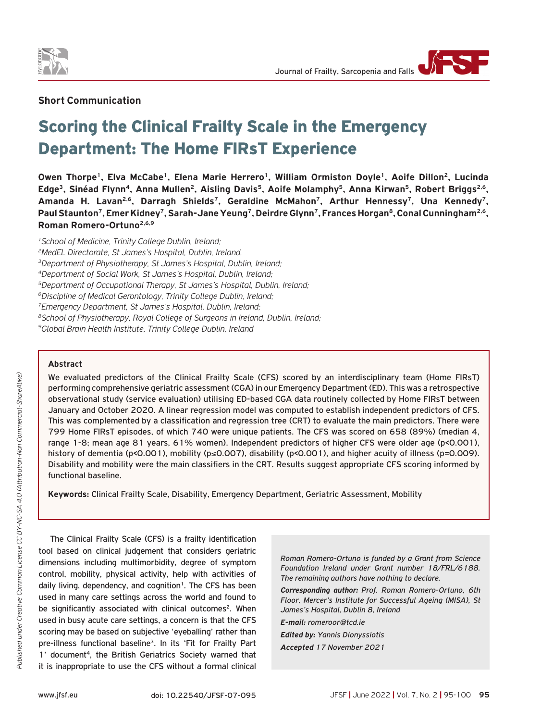

## **Short Communication**

# Scoring the Clinical Frailty Scale in the Emergency Department: The Home FIRsT Experience

Owen Thorpe<sup>1</sup>, Elva McCabe<sup>1</sup>, Elena Marie Herrero<sup>1</sup>, William Ormiston Doyle<sup>1</sup>, Aoife Dillon<sup>2</sup>, Lucinda Edge<sup>3</sup>, Sinéad Flynn<sup>4</sup>, Anna Mullen<sup>2</sup>, Aisling Davis<sup>5</sup>, Aoife Molamphy<sup>5</sup>, Anna Kirwan<sup>5</sup>, Robert Briggs<sup>2,6</sup>, Amanda H. Lavan<sup>2,6</sup>, Darragh Shields<sup>7</sup>, Geraldine McMahon<sup>7</sup>, Arthur Hennessy<sup>7</sup>, Una Kennedy<sup>7</sup>, Paul Staunton<sup>7</sup>, Emer Kidney<sup>7</sup>, Sarah-Jane Yeung<sup>7</sup>, Deirdre Glynn<sup>7</sup>, Frances Horgan<sup>8</sup>, Conal Cunningham<sup>2,6</sup>, **Roman Romero-Ortuno2,6,9**

*1School of Medicine, Trinity College Dublin, Ireland; 2MedEL Directorate, St James's Hospital, Dublin, Ireland. 3Department of Physiotherapy, St James's Hospital, Dublin, Ireland; 4Department of Social Work, St James's Hospital, Dublin, Ireland; 5Department of Occupational Therapy, St James's Hospital, Dublin, Ireland; 6Discipline of Medical Gerontology, Trinity College Dublin, Ireland; 7Emergency Department, St James's Hospital, Dublin, Ireland; 8School of Physiotherapy, Royal College of Surgeons in Ireland, Dublin, Ireland; 9Global Brain Health Institute, Trinity College Dublin, Ireland*

#### **Abstract**

We evaluated predictors of the Clinical Frailty Scale (CFS) scored by an interdisciplinary team (Home FIRsT) performing comprehensive geriatric assessment (CGA) in our Emergency Department (ED). This was a retrospective observational study (service evaluation) utilising ED-based CGA data routinely collected by Home FIRsT between January and October 2020. A linear regression model was computed to establish independent predictors of CFS. This was complemented by a classification and regression tree (CRT) to evaluate the main predictors. There were 799 Home FIRsT episodes, of which 740 were unique patients. The CFS was scored on 658 (89%) (median 4, range 1-8; mean age 81 years, 61% women). Independent predictors of higher CFS were older age (p<0.001), history of dementia (p<0.001), mobility (p≤0.007), disability (p<0.001), and higher acuity of illness (p=0.009). Disability and mobility were the main classifiers in the CRT. Results suggest appropriate CFS scoring informed by functional baseline.

**Keywords:** Clinical Frailty Scale, Disability, Emergency Department, Geriatric Assessment, Mobility

The Clinical Frailty Scale (CFS) is a frailty identification tool based on clinical judgement that considers geriatric dimensions including multimorbidity, degree of symptom control, mobility, physical activity, help with activities of daily living, dependency, and cognition<sup>1</sup>. The CFS has been used in many care settings across the world and found to be significantly associated with clinical outcomes<sup>2</sup>. When used in busy acute care settings, a concern is that the CFS scoring may be based on subjective 'eyeballing' rather than pre-illness functional baseline<sup>3</sup>. In its 'Fit for Frailty Part 1' document<sup>4</sup>, the British Geriatrics Society warned that it is inappropriate to use the CFS without a formal clinical

*Roman Romero-Ortuno is funded by a Grant from Science Foundation Ireland under Grant number 18/FRL/6188. The remaining authors have nothing to declare.*

*Corresponding author: Prof. Roman Romero-Ortuno, 6th Floor, Mercer's Institute for Successful Ageing (MISA), St James's Hospital, Dublin 8, Ireland* 

*E-mail: romeroor@tcd.ie* 

*Edited by: Yannis Dionyssiotis*

*Accepted 17 November 2021*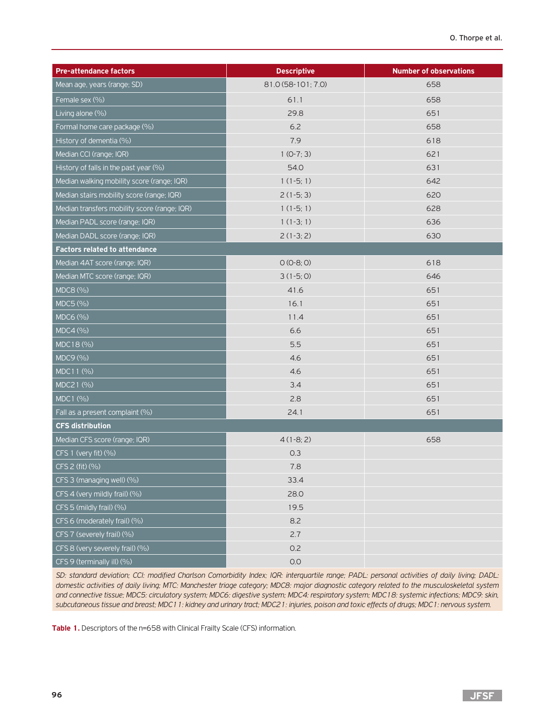| <b>Pre-attendance factors</b>                | <b>Descriptive</b> | <b>Number of observations</b> |  |
|----------------------------------------------|--------------------|-------------------------------|--|
| Mean age, years (range; SD)                  | 81.0 (58-101; 7.0) | 658                           |  |
| Female sex (%)                               | 61.1               | 658                           |  |
| Living alone (%)                             | 29.8               | 651                           |  |
| Formal home care package (%)                 | 6.2                | 658                           |  |
| History of dementia (%)                      | 7.9                | 618                           |  |
| Median CCI (range; IQR)                      | $1 (0-7; 3)$       | 621                           |  |
| History of falls in the past year (%)        | 54.0               | 631                           |  |
| Median walking mobility score (range; IQR)   | $1(1-5; 1)$        | 642                           |  |
| Median stairs mobility score (range; IQR)    | $2(1-5; 3)$        | 620                           |  |
| Median transfers mobility score (range; IQR) | $1(1-5; 1)$        | 628                           |  |
| Median PADL score (range; IQR)               | $1(1-3; 1)$        | 636                           |  |
| Median DADL score (range; IQR)               | $2(1-3; 2)$        | 630                           |  |
| <b>Factors related to attendance</b>         |                    |                               |  |
| Median 4AT score (range; IQR)                | $O (O-8; O)$       | 618                           |  |
| Median MTC score (range; IQR)                | $3(1-5; 0)$        | 646                           |  |
| MDC8 (%)                                     | 41.6               | 651                           |  |
| MDC5 (%)                                     | 16.1               | 651                           |  |
| MDC6 (%)                                     | 11.4               | 651                           |  |
| MDC4 (%)                                     | 6.6                | 651                           |  |
| MDC18 (%)                                    | 5.5                | 651                           |  |
| MDC9 (%)                                     | 4.6                | 651                           |  |
| MDC11 (%)                                    | 4.6                | 651                           |  |
| MDC21 (%)                                    | 3.4                | 651                           |  |
| MDC1 (%)                                     | 2.8                | 651                           |  |
| Fall as a present complaint (%)              | 24.1               | 651                           |  |
| <b>CFS distribution</b>                      |                    |                               |  |
| Median CFS score (range; IQR)                | $4(1-8; 2)$        | 658                           |  |
| CFS 1 (very fit) (%)                         | 0.3                |                               |  |
| CFS 2 (fit) (%)                              | 7.8                |                               |  |
| CFS 3 (managing well) (%)                    | 33.4               |                               |  |
| CFS 4 (very mildly frail) (%)                | 28.0               |                               |  |
| CFS 5 (mildly frail) (%)                     | 19.5               |                               |  |
| CFS 6 (moderately frail) (%)                 | 8.2                |                               |  |
| CFS 7 (severely frail) (%)                   | 2.7                |                               |  |
| CFS 8 (very severely frail) (%)              | 0.2                |                               |  |
| CFS 9 (terminally ill) (%)                   | O.O                |                               |  |

*SD: standard deviation; CCI: modified Charlson Comorbidity Index; IQR: interquartile range; PADL: personal activities of daily living; DADL: domestic activities of daily living; MTC: Manchester triage category; MDC8: major diagnostic category related to the musculoskeletal system and connective tissue; MDC5: circulatory system; MDC6: digestive system; MDC4: respiratory system; MDC18: systemic infections; MDC9: skin, subcutaneous tissue and breast; MDC11: kidney and urinary tract; MDC21: injuries, poison and toxic effects of drugs; MDC1: nervous system.*

**Table 1.** Descriptors of the n=658 with Clinical Frailty Scale (CFS) information.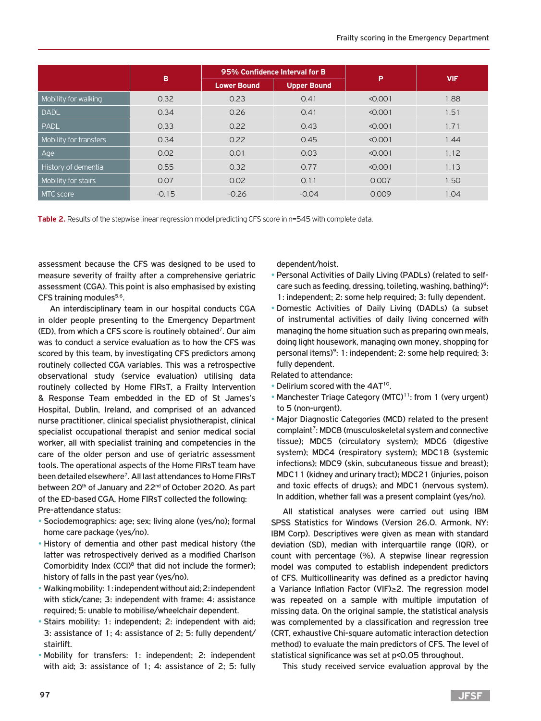|                        | B       | 95% Confidence Interval for B |                    |         |            |
|------------------------|---------|-------------------------------|--------------------|---------|------------|
|                        |         | <b>Lower Bound</b>            | <b>Upper Bound</b> | P       | <b>VIF</b> |
| Mobility for walking   | 0.32    | 0.23                          | 0.41               | < 0.001 | 1.88       |
| <b>DADL</b>            | 0.34    | 0.26                          | 0.41               | < 0.001 | 1.51       |
| <b>PADL</b>            | 0.33    | 0.22                          | 0.43               | < 0.001 | 1.71       |
| Mobility for transfers | 0.34    | 0.22                          | 0.45               | < 0.001 | 1.44       |
| Age                    | 0.02    | 0.01                          | 0.03               | < 0.001 | 1.12       |
| History of dementia    | 0.55    | 0.32                          | 0.77               | < 0.001 | 1.13       |
| Mobility for stairs    | 0.07    | 0.02                          | 0.11               | 0.007   | 1.50       |
| MTC score              | $-0.15$ | $-0.26$                       | $-0.04$            | 0.009   | 1.04       |

**Table 2.** Results of the stepwise linear regression model predicting CFS score in n=545 with complete data.

assessment because the CFS was designed to be used to measure severity of frailty after a comprehensive geriatric assessment (CGA). This point is also emphasised by existing CFS training modules<sup>5,6</sup>.

An interdisciplinary team in our hospital conducts CGA in older people presenting to the Emergency Department (ED), from which a CFS score is routinely obtained<sup>7</sup>. Our aim was to conduct a service evaluation as to how the CFS was scored by this team, by investigating CFS predictors among routinely collected CGA variables. This was a retrospective observational study (service evaluation) utilising data routinely collected by Home FIRsT, a Frailty Intervention & Response Team embedded in the ED of St James's Hospital, Dublin, Ireland, and comprised of an advanced nurse practitioner, clinical specialist physiotherapist, clinical specialist occupational therapist and senior medical social worker, all with specialist training and competencies in the care of the older person and use of geriatric assessment tools. The operational aspects of the Home FIRsT team have been detailed elsewhere<sup>7</sup>. All last attendances to Home FIRsT between 20<sup>th</sup> of January and 22<sup>nd</sup> of October 2020. As part of the ED-based CGA, Home FIRsT collected the following: Pre-attendance status:

- Sociodemographics: age; sex; living alone (yes/no); formal home care package (yes/no).
- History of dementia and other past medical history (the latter was retrospectively derived as a modified Charlson Comorbidity Index (CCI)<sup>8</sup> that did not include the former); history of falls in the past year (yes/no).
- Walking mobility: 1: independent without aid; 2: independent with stick/cane; 3: independent with frame; 4: assistance required; 5: unable to mobilise/wheelchair dependent.
- Stairs mobility: 1: independent; 2: independent with aid; 3: assistance of 1; 4: assistance of 2; 5: fully dependent/ stairlift.
- Mobility for transfers: 1: independent; 2: independent with aid; 3: assistance of 1; 4: assistance of 2; 5: fully

dependent/hoist.

- Personal Activities of Daily Living (PADLs) (related to selfcare such as feeding, dressing, toileting, washing, bathing)<sup>9</sup>: 1: independent; 2: some help required; 3: fully dependent.
- Domestic Activities of Daily Living (DADLs) (a subset of instrumental activities of daily living concerned with managing the home situation such as preparing own meals, doing light housework, managing own money, shopping for personal items)<sup>9</sup>: 1: independent; 2: some help required; 3: fully dependent.

Related to attendance:

- Delirium scored with the 4AT<sup>10</sup>.
- Manchester Triage Category (MTC)<sup>11</sup>: from 1 (very urgent) to 5 (non-urgent).
- Major Diagnostic Categories (MCD) related to the present complaint<sup>7</sup>: MDC8 (musculoskeletal system and connective tissue); MDC5 (circulatory system); MDC6 (digestive system); MDC4 (respiratory system); MDC18 (systemic infections); MDC9 (skin, subcutaneous tissue and breast); MDC11 (kidney and urinary tract); MDC21 (injuries, poison and toxic effects of drugs); and MDC1 (nervous system). In addition, whether fall was a present complaint (yes/no).

All statistical analyses were carried out using IBM SPSS Statistics for Windows (Version 26.0. Armonk, NY: IBM Corp). Descriptives were given as mean with standard deviation (SD), median with interquartile range (IQR), or count with percentage (%). A stepwise linear regression model was computed to establish independent predictors of CFS. Multicollinearity was defined as a predictor having a Variance Inflation Factor (VIF)≥2. The regression model was repeated on a sample with multiple imputation of missing data. On the original sample, the statistical analysis was complemented by a classification and regression tree (CRT, exhaustive Chi-square automatic interaction detection method) to evaluate the main predictors of CFS. The level of statistical significance was set at p<0.05 throughout.

This study received service evaluation approval by the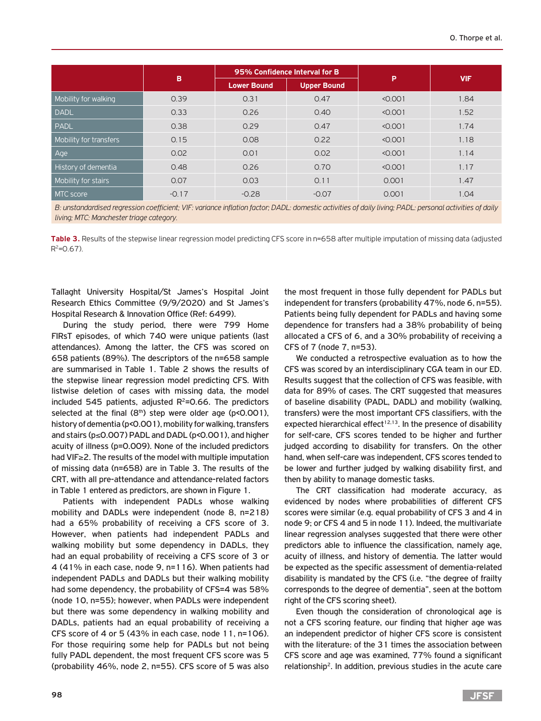|                        | B       | 95% Confidence Interval for B |                    |         |            |  |  |
|------------------------|---------|-------------------------------|--------------------|---------|------------|--|--|
|                        |         | <b>Lower Bound</b>            | <b>Upper Bound</b> | P       | <b>VIF</b> |  |  |
| Mobility for walking   | 0.39    | 0.31                          | 0.47               | < 0.001 | 1.84       |  |  |
| DADL                   | 0.33    | 0.26                          | 0.40               | < 0.001 | 1.52       |  |  |
| PADL                   | 0.38    | 0.29                          | 0.47               | < 0.001 | 1.74       |  |  |
| Mobility for transfers | 0.15    | 0.08                          | 0.22               | < 0.001 | 1.18       |  |  |
| Age                    | 0.02    | 0.01                          | 0.02               | < 0.001 | 1.14       |  |  |
| History of dementia    | 0.48    | 0.26                          | 0.70               | < 0.001 | 1.17       |  |  |
| Mobility for stairs    | 0.07    | 0.03                          | 0.11               | 0.001   | 1.47       |  |  |
| MTC score              | $-0.17$ | $-0.28$                       | $-0.07$            | 0.001   | 1.04       |  |  |

*B: unstandardised regression coefficient; VIF: variance inflation factor; DADL: domestic activities of daily living; PADL: personal activities of daily living; MTC: Manchester triage category.*

Table 3. Results of the stepwise linear regression model predicting CFS score in n=658 after multiple imputation of missing data (adjusted  $R^2 = 0.67$ ).

Tallaght University Hospital/St James's Hospital Joint Research Ethics Committee (9/9/2020) and St James's Hospital Research & Innovation Office (Ref: 6499).

During the study period, there were 799 Home FIRsT episodes, of which 740 were unique patients (last attendances). Among the latter, the CFS was scored on 658 patients (89%). The descriptors of the n=658 sample are summarised in Table 1. Table 2 shows the results of the stepwise linear regression model predicting CFS. With listwise deletion of cases with missing data, the model included 545 patients, adjusted  $R^2$ =0.66. The predictors selected at the final  $(8<sup>th</sup>)$  step were older age (p<0.001), history of dementia (p<0.001), mobility for walking, transfers and stairs (p≤0.007) PADL and DADL (p<0.001), and higher acuity of illness (p=0.009). None of the included predictors had VIF≥2. The results of the model with multiple imputation of missing data (n=658) are in Table 3. The results of the CRT, with all pre-attendance and attendance-related factors in Table 1 entered as predictors, are shown in Figure 1.

Patients with independent PADLs whose walking mobility and DADLs were independent (node 8, n=218) had a 65% probability of receiving a CFS score of 3. However, when patients had independent PADLs and walking mobility but some dependency in DADLs, they had an equal probability of receiving a CFS score of 3 or 4 (41% in each case, node 9, n=116). When patients had independent PADLs and DADLs but their walking mobility had some dependency, the probability of CFS=4 was 58% (node 10, n=55); however, when PADLs were independent but there was some dependency in walking mobility and DADLs, patients had an equal probability of receiving a CFS score of 4 or 5 (43% in each case, node 11, n=106). For those requiring some help for PADLs but not being fully PADL dependent, the most frequent CFS score was 5 (probability 46%, node 2, n=55). CFS score of 5 was also

the most frequent in those fully dependent for PADLs but independent for transfers (probability 47%, node 6, n=55). Patients being fully dependent for PADLs and having some dependence for transfers had a 38% probability of being allocated a CFS of 6, and a 30% probability of receiving a CFS of 7 (node 7, n=53).

We conducted a retrospective evaluation as to how the CFS was scored by an interdisciplinary CGA team in our ED. Results suggest that the collection of CFS was feasible, with data for 89% of cases. The CRT suggested that measures of baseline disability (PADL, DADL) and mobility (walking, transfers) were the most important CFS classifiers, with the expected hierarchical effect $12,13$ . In the presence of disability for self-care, CFS scores tended to be higher and further judged according to disability for transfers. On the other hand, when self-care was independent, CFS scores tended to be lower and further judged by walking disability first, and then by ability to manage domestic tasks.

The CRT classification had moderate accuracy, as evidenced by nodes where probabilities of different CFS scores were similar (e.g. equal probability of CFS 3 and 4 in node 9; or CFS 4 and 5 in node 11). Indeed, the multivariate linear regression analyses suggested that there were other predictors able to influence the classification, namely age, acuity of illness, and history of dementia. The latter would be expected as the specific assessment of dementia-related disability is mandated by the CFS (i.e. "the degree of frailty corresponds to the degree of dementia", seen at the bottom right of the CFS scoring sheet).

Even though the consideration of chronological age is not a CFS scoring feature, our finding that higher age was an independent predictor of higher CFS score is consistent with the literature: of the 31 times the association between CFS score and age was examined, 77% found a significant relationship2. In addition, previous studies in the acute care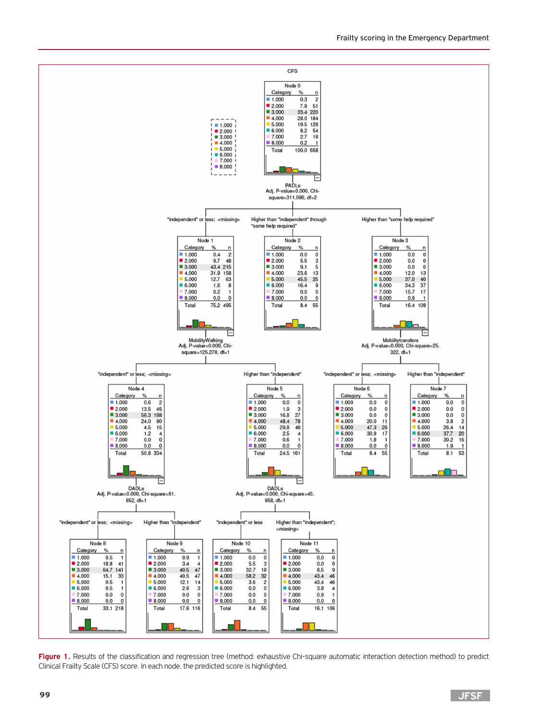

Figure 1. Results of the classification and regression tree (method: exhaustive Chi-square automatic interaction detection method) to predict Clinical Frailty Scale (CFS) score. In each node, the predicted score is highlighted.